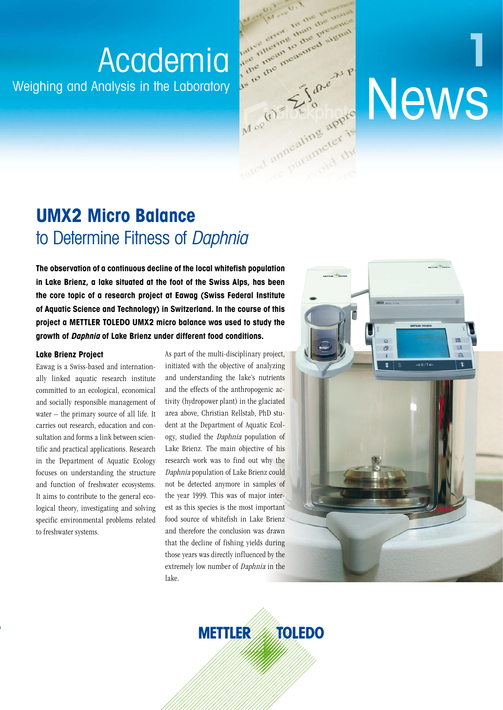

# **UMX2 Micro Balance** to Determine Fitness of Daphnia

**The observation of a continuous decline of the local whitefish population in Lake Brienz, a lake situated at the foot of the Swiss Alps, has been the core topic of a research project at Eawag (Swiss Federal Institute of Aquatic Science and Technology) in Switzerland. In the course of this project a METTLER TOLEDO UMX2 micro balance was used to study the growth of Daphnia of Lake Brienz under different food conditions.**

## **Lake Brienz Project**

Eawag is a Swiss-based and internationally linked aquatic research institute committed to an ecological, economical and socially responsible management of water – the primary source of all life. It carries out research, education and consultation and forms a link between scientific and practical applications. Research in the Department of Aquatic Ecology focuses on understanding the structure and function of freshwater ecosystems. It aims to contribute to the general ecological theory, investigating and solving specific environmental problems related to freshwater systems.

As part of the multi-disciplinary project, initiated with the objective of analyzing and understanding the lake's nutrients and the effects of the anthropogenic activity (hydropower plant) in the glaciated area above, Christian Rellstab, PhD student at the Department of Aquatic Ecology, studied the Daphnia population of Lake Brienz. The main objective of his research work was to find out why the Daphnia population of Lake Brienz could not be detected anymore in samples of the year 1999. This was of major interest as this species is the most important food source of whitefish in Lake Brienz and therefore the conclusion was drawn that the decline of fishing yields during those years was directly influenced by the extremely low number of Daphnia in the lake.